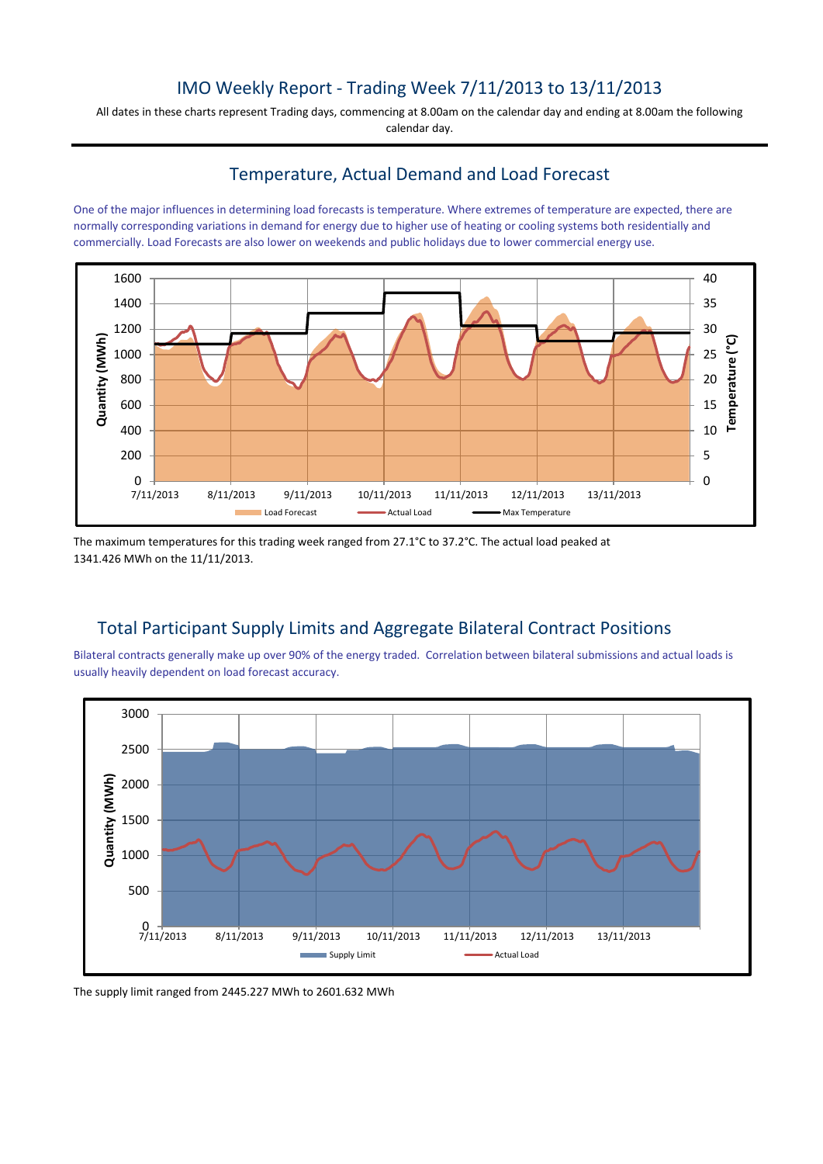# IMO Weekly Report - Trading Week 7/11/2013 to 13/11/2013

All dates in these charts represent Trading days, commencing at 8.00am on the calendar day and ending at 8.00am the following calendar day.

### Temperature, Actual Demand and Load Forecast

One of the major influences in determining load forecasts is temperature. Where extremes of temperature are expected, there are normally corresponding variations in demand for energy due to higher use of heating or cooling systems both residentially and commercially. Load Forecasts are also lower on weekends and public holidays due to lower commercial energy use.



The maximum temperatures for this trading week ranged from 27.1°C to 37.2°C. The actual load peaked at 1341.426 MWh on the 11/11/2013.

## Total Participant Supply Limits and Aggregate Bilateral Contract Positions

Bilateral contracts generally make up over 90% of the energy traded. Correlation between bilateral submissions and actual loads is usually heavily dependent on load forecast accuracy.



The supply limit ranged from 2445.227 MWh to 2601.632 MWh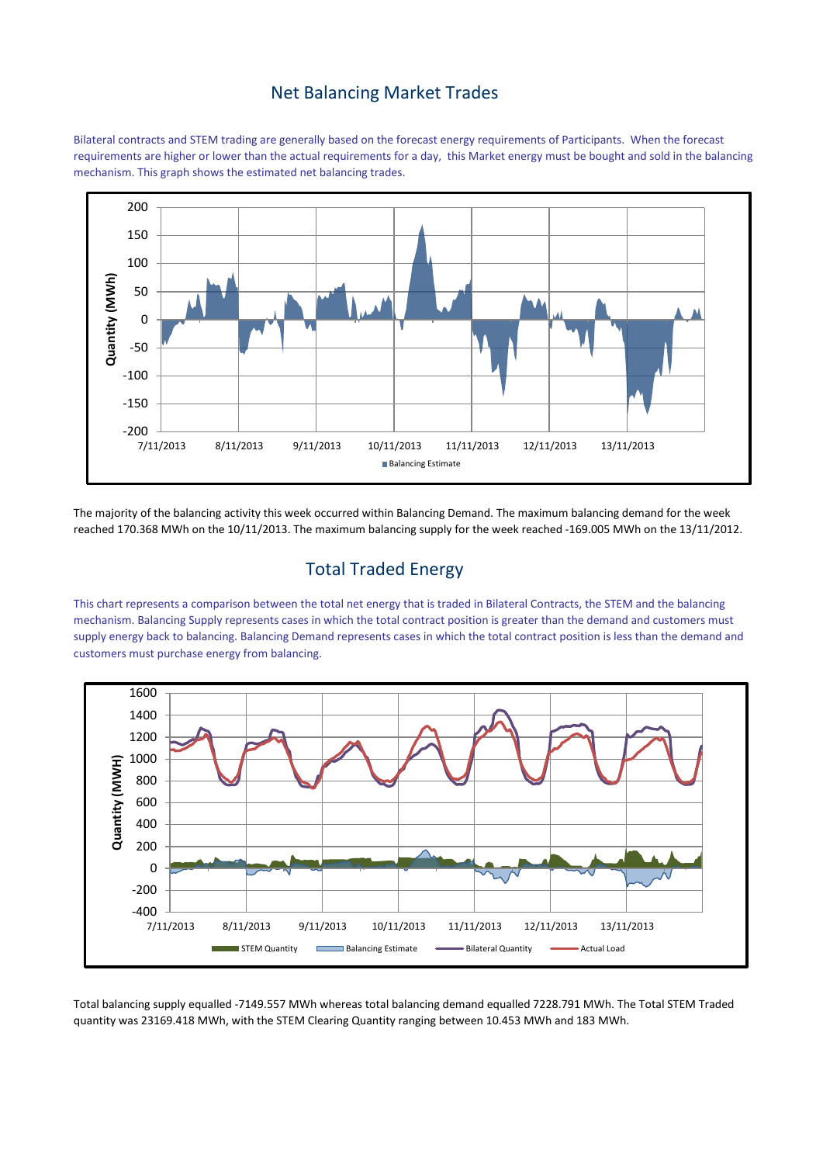#### Net Balancing Market Trades

Bilateral contracts and STEM trading are generally based on the forecast energy requirements of Participants. When the forecast requirements are higher or lower than the actual requirements for a day, this Market energy must be bought and sold in the balancing mechanism. This graph shows the estimated net balancing trades.



The majority of the balancing activity this week occurred within Balancing Demand. The maximum balancing demand for the week reached 170.368 MWh on the 10/11/2013. The maximum balancing supply for the week reached -169.005 MWh on the 13/11/2012.

## Total Traded Energy

This chart represents a comparison between the total net energy that is traded in Bilateral Contracts, the STEM and the balancing mechanism. Balancing Supply represents cases in which the total contract position is greater than the demand and customers must supply energy back to balancing. Balancing Demand represents cases in which the total contract position is less than the demand and customers must purchase energy from balancing.



Total balancing supply equalled -7149.557 MWh whereas total balancing demand equalled 7228.791 MWh. The Total STEM Traded quantity was 23169.418 MWh, with the STEM Clearing Quantity ranging between 10.453 MWh and 183 MWh.